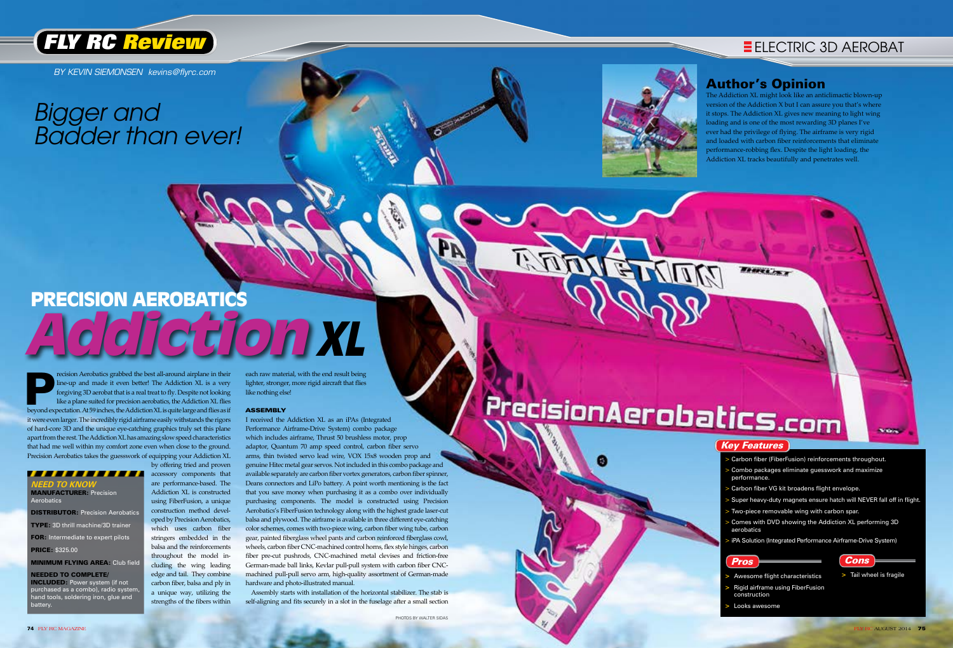

BY KEVIN SIEMONSEN kevins@flyrc.com

,,,,,,,, **NEED TO KNOW** MANUFACTURER: Precision Aerobatics **DISTRIBUTOR: Precision Aerobatics** type: 3D thrill machine/3D trainer

## *Bigger and Badder than ever!*



**FOR:** Intermediate to expert pilots price: \$325.00

**MINIMUM FLYING AREA: Club field** 

needed to complete/ INCLUDED: Power system (if not purchased as a combo), radio system, hand tools, soldering iron, glue and **pattery** 

- > Carbon fiber (FiberFusion) reinforcements throughout.
- > Combo packages eliminate guesswork and maximize
- Carbon fiber VG kit broadens flight envelope.
- > Super heavy-duty magnets ensure hatch will NEVER fall off in flight. Two-piece removable wing with carbon spar.
- Comes with DVD showing the Addiction XL performing 3D
- iPA Solution (Integrated Performance Airframe-Drive System)

- 
- 

# PrecisionAerobatics.com

## Cons

` Key Features Pros **>** Awesome flight characteristics **>** Rigid airframe using FiberFusion construction **>** Looks awesome performance. aerobatics

recision Aerobatics grabbed the best all-around airplane in their<br>line-up and made it even better! The Addiction XL is a very<br>forgiving 3D aerobat that is a real treat to fly. Despite not looking<br>like a plane suited for pr recision Aerobatics grabbed the best all-around airplane in their line-up and made it even better! The Addiction XL is a very forgiving 3D aerobat that is a real treat to fly. Despite not looking like a plane suited for precision aerobatics, the Addiction XL flies it were even larger. The incredibly rigid airframe easily withstands the rigors of hard-core 3D and the unique eye-catching graphics truly set this plane apart from the rest. The Addiction XL has amazing slow speed characteristics that had me well within my comfort zone even when close to the ground. Precision Aerobatics takes the guesswork of equipping your Addiction XL by offering tried and proven

> accessory components that are performance-based. The Addiction XL is constructed using FiberFusion, a unique construction method developed by Precision Aerobatics, which uses carbon fiber stringers embedded in the balsa and the reinforcements throughout the model including the wing leading edge and tail. They combine carbon fiber, balsa and ply in a unique way, utilizing the strengths of the fibers within

# **precision aerobatics XL Addiction**

each raw material, with the end result being lighter, stronger, more rigid aircraft that flies like nothing else!

### ASSEMBLY

I received the Addiction XL as an iPAs (Integrated Performance Airframe-Drive System) combo package which includes airframe, Thrust 50 brushless motor, prop adaptor, Quantum 70 amp speed control, carbon fiber servo arms, thin twisted servo lead wire, VOX 15x8 wooden prop and genuine Hitec metal gear servos. Not included in this combo package and available separately are carbon fiber vortex generators, carbon fiber spinner, Deans connectors and LiPo battery. A point worth mentioning is the fact that you save money when purchasing it as a combo over individually purchasing components. The model is constructed using Precision Aerobatics's FiberFusion technology along with the highest grade laser-cut balsa and plywood. The airframe is available in three different eye-catching color schemes, comes with two-piece wing, carbon fiber wing tube, carbon gear, painted fiberglass wheel pants and carbon reinforced fiberglass cowl, wheels, carbon fiber CNC-machined control horns, flex style hinges, carbon fiber pre-cut pushrods, CNC-machined metal clevises and friction-free German-made ball links, Kevlar pull-pull system with carbon fiber CNCmachined pull-pull servo arm, high-quality assortment of German-made hardware and photo-illustrated manual.

 Assembly starts with installation of the horizontal stabilizer. The stab is self-aligning and fits securely in a slot in the fuselage after a small section

## Author's Opinion

The Addiction XL might look like an anticlimactic blown-up version of the Addiction X but I can assure you that's where it stops. The Addiction XL gives new meaning to light wing loading and is one of the most rewarding 3D planes I've ever had the privilege of flying. The airframe is very rigid and loaded with carbon fiber reinforcements that eliminate performance-robbing flex. Despite the light loading, the Addiction XL tracks beautifully and penetrates well.

Braves in a

**>** Tail wheel is fragile

**Notes**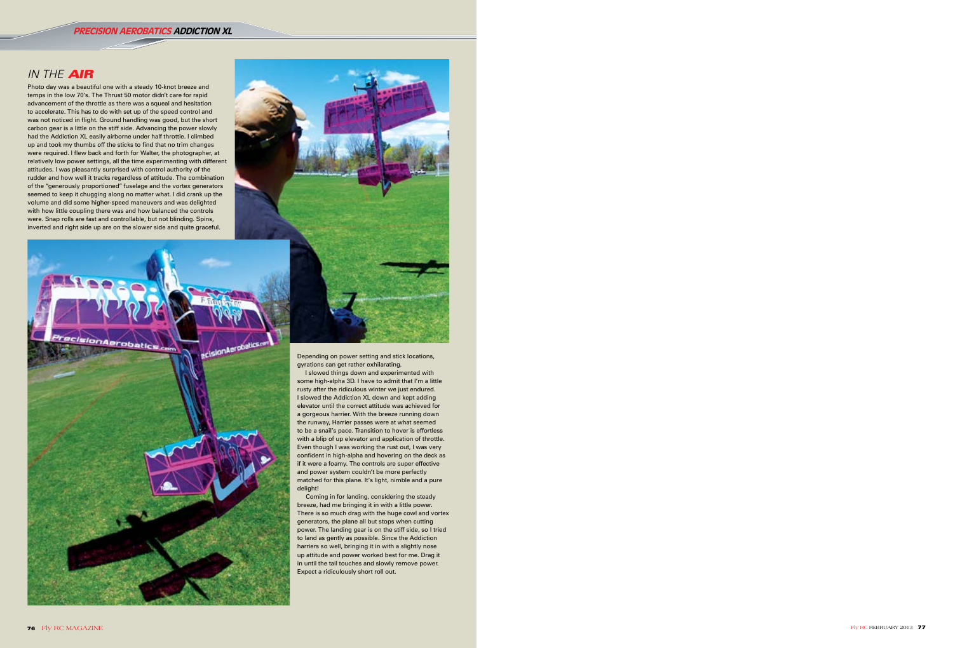## PRECISION AEROBATICS ADDICTION XL

## IN THE AIR

Photo day was a beautiful one with a steady 10-knot breeze and temps in the low 70's. The Thrust 50 motor didn't care for rapid advancement of the throttle as there was a squeal and hesitation to accelerate. This has to do with set up of the speed control and was not noticed in flight. Ground handling was good, but the short carbon gear is a little on the stiff side. Advancing the power slowly had the Addiction XL easily airborne under half throttle. I climbed up and took my thumbs off the sticks to find that no trim changes were required. I flew back and forth for Walter, the photographer, at relatively low power settings, all the time experimenting with different attitudes. I was pleasantly surprised with control authority of the rudder and how well it tracks regardless of attitude. The combination of the "generously proportioned" fuselage and the vortex generators seemed to keep it chugging along no matter what. I did crank up the volume and did some higher-speed maneuvers and was delighted with how little coupling there was and how balanced the controls were. Snap rolls are fast and controllable, but not blinding. Spins, inverted and right side up are on the slower side and quite graceful.



Depending on power setting and stick locations, gyrations can get rather exhilarating.

I slowed things down and experimented with some high-alpha 3D. I have to admit that I'm a little rusty after the ridiculous winter we just endured. I slowed the Addiction XL down and kept adding elevator until the correct attitude was achieved for a gorgeous harrier. With the breeze running down the runway, Harrier passes were at what seemed to be a snail's pace. Transition to hover is effortless with a blip of up elevator and application of throttle. Even though I was working the rust out, I was very confident in high-alpha and hovering on the deck as if it were a foamy. The controls are super effective and power system couldn't be more perfectly matched for this plane. It's light, nimble and a pure delight!

 Coming in for landing, considering the steady breeze, had me bringing it in with a little power. There is so much drag with the huge cowl and vortex generators, the plane all but stops when cutting power. The landing gear is on the stiff side, so I tried to land as gently as possible. Since the Addiction harriers so well, bringing it in with a slightly nose up attitude and power worked best for me. Drag it in until the tail touches and slowly remove power. Expect a ridiculously short roll out.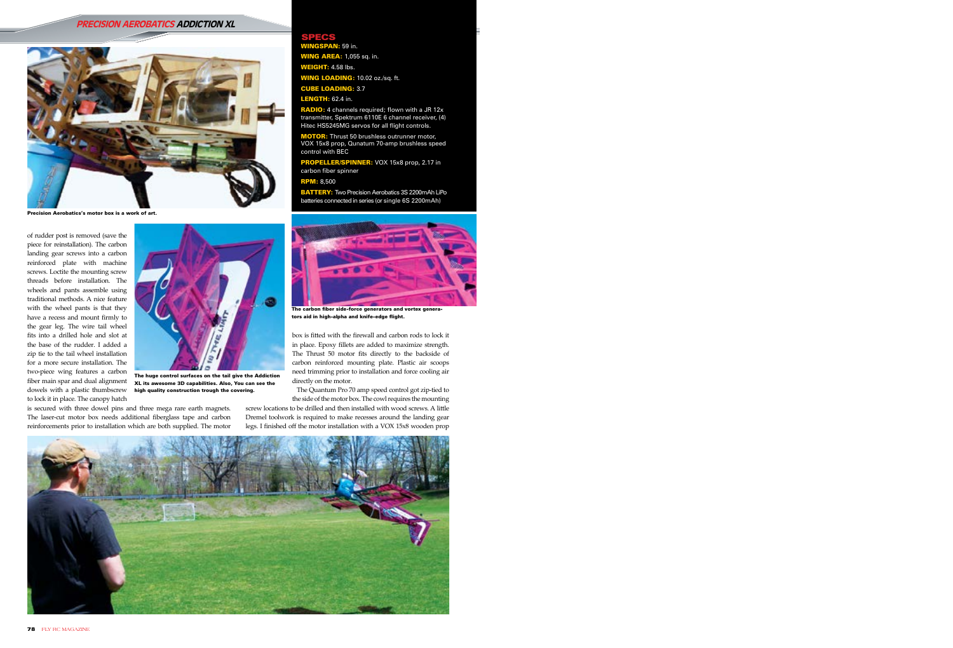of rudder post is removed (save the piece for reinstallation). The carbon landing gear screws into a carbon reinforced plate with machine screws. Loctite the mounting screw threads before installation. The wheels and pants assemble using traditional methods. A nice feature with the wheel pants is that they have a recess and mount firmly to the gear leg. The wire tail wheel fits into a drilled hole and slot at the base of the rudder. I added a zip tie to the tail wheel installation for a more secure installation. The two-piece wing features a carbon to lock it in place. The canopy hatch

is secured with three dowel pins and three mega rare earth magnets. The laser-cut motor box needs additional fiberglass tape and carbon reinforcements prior to installation which are both supplied. The motor

CUBE LOADING: 3.7 **LENGTH: 62.4 in.** 

RADIO: 4 channels required; flown with a JR 12x transmitter, Spektrum 6110E 6 channel receiver, (4) Hitec HS5245MG servos for all flight controls. MOTOR: Thrust 50 brushless outrunner motor, VOX 15x8 prop, Qunatum 70-amp brushless speed

PROPELLER/SPINNER: VOX 15x8 prop, 2.17 in

box is fitted with the firewall and carbon rods to lock it in place. Epoxy fillets are added to maximize strength. The Thrust 50 motor fits directly to the backside of carbon reinforced mounting plate. Plastic air scoops need trimming prior to installation and force cooling air directly on the motor.

**BATTERY:** Two Precision Aerobatics 3S 2200mAh LiPo batteries connected in series (or single 6S 2200mAh)

WEIGHT: 4.58 lbs.



fiber main spar and dual alignment xL its awesome 3D capabilities. Also, You can see the dowels with a plastic thumbscrew high quality construction trough the covering. The huge control surfaces on the tail give the Addiction

 The Quantum Pro 70 amp speed control got zip-tied to the side of the motor box. The cowl requires the mounting

screw locations to be drilled and then installed with wood screws. A little Dremel toolwork is required to make recesses around the landing gear legs. I finished off the motor installation with a VOX 15x8 wooden prop



**AN:** 59 in. **WING AREA:** 1,055 sq. in.

WING LOADING: 10.02 oz./sq. ft.

## PRECISION AEROBATICS ADDICTION XL

control with BEC

carbon fiber spinner RPM: 8,500

SPECS



Precision Aerobatics's motor box is a work of art.



The carbon fiber side-force generators and vortex generators aid in high-alpha and knife-edge flight.